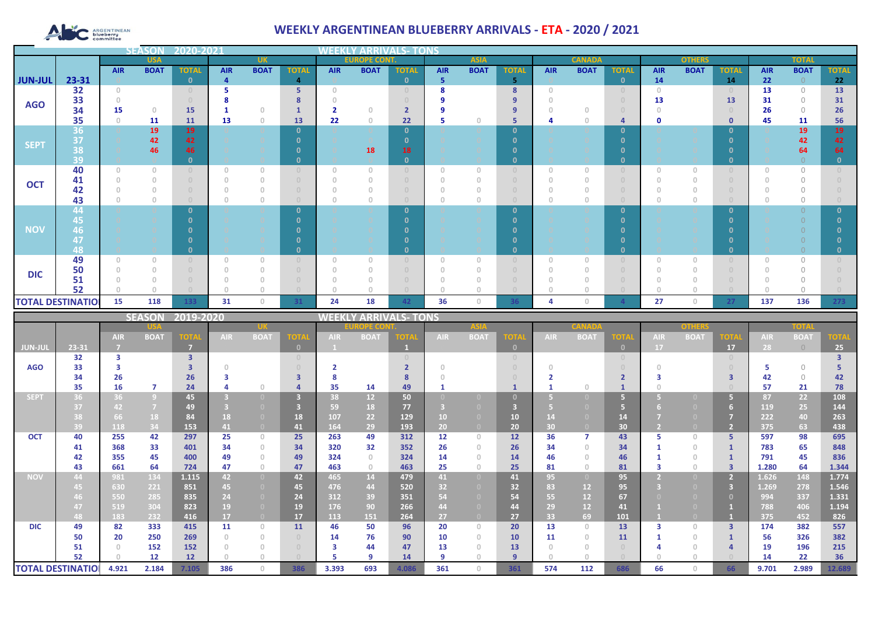# **ARGENTINEAN**

## **WEEKLY ARGENTINEAN BLUEBERRY ARRIVALS - ETA - 2020 / 2021**

|                |                                                                     |                                       | 14 = N       |                         |            |                                       |                |                                       |                              |              |                                  |             |              |            |               |                |            |                |              |            |              |              |
|----------------|---------------------------------------------------------------------|---------------------------------------|--------------|-------------------------|------------|---------------------------------------|----------------|---------------------------------------|------------------------------|--------------|----------------------------------|-------------|--------------|------------|---------------|----------------|------------|----------------|--------------|------------|--------------|--------------|
|                |                                                                     |                                       | <b>USA</b>   |                         |            | <b>UK</b>                             |                |                                       | <b>EUROPE CONT.</b>          |              |                                  | <b>ASIA</b> |              |            | <b>CANADA</b> |                |            | <b>OTHERS</b>  |              |            | <b>TOTAL</b> |              |
|                |                                                                     | <b>AIR</b>                            | <b>BOAT</b>  | <b>TOTAL</b>            | <b>AIR</b> | <b>BOAT</b>                           | <b>TOTAL</b>   | <b>AIR</b>                            | <b>BOAT</b>                  | <b>TOTAL</b> | <b>AIR</b>                       | <b>BOAT</b> | <b>TOTAL</b> | <b>AIR</b> | <b>BOAT</b>   | <b>TOTAL</b>   | <b>AIR</b> | <b>BOAT</b>    | <b>TOTAL</b> | <b>AIR</b> | <b>BOAT</b>  | <b>TOTAL</b> |
| <b>JUN-JUL</b> | 23-31                                                               |                                       |              | $\Omega$                | 4          |                                       | $\overline{4}$ |                                       |                              | $\mathbf{0}$ | 5                                |             | 5            |            |               | $\mathbf{0}$   | 14         |                | 14           | 22         | $\Omega$     | 22           |
|                | 32                                                                  | $\begin{array}{c} 0 \\ 0 \end{array}$ |              |                         |            |                                       | 5              | $\Omega$                              |                              |              | 8                                |             | 8            | $\cap$     |               | $\Omega$       | $\Omega$   |                |              | 13         | $\bigcap$    | 13           |
| <b>AGO</b>     | 33                                                                  |                                       |              |                         |            |                                       | 8              |                                       |                              |              |                                  |             | 9            |            |               |                | 13         |                | 13           | 31         | $\circ$      | 31           |
|                | 34                                                                  | 15                                    | $\Box$       | <b>15</b>               |            | $\cap$                                |                | 2                                     | $\cup$                       |              |                                  |             | 9            |            |               |                |            |                |              | 26         | $\Omega$     | 26           |
|                | 35                                                                  | $\cap$                                | 11           | 11                      | 13         | $\begin{array}{c} 0 \\ 0 \end{array}$ | 13             | 22                                    | $\theta$                     | 22           |                                  | $\Box$      | 5            |            |               | 4              | 0          |                | $\mathbf{0}$ | 45         | 11           | 56           |
|                | 36 <sub>l</sub>                                                     |                                       | 19           | 19                      |            |                                       | $\mathbf{0}$   |                                       |                              | $\mathbf{0}$ |                                  |             | $\mathbf{0}$ |            |               | $\mathbf{0}$   |            |                | 0            |            | 19           | 19           |
| <b>SEPT</b>    | 37                                                                  |                                       | 42           | 42                      |            |                                       | $\Omega$       |                                       |                              | n            |                                  |             | $\mathbf{0}$ |            |               | $\Omega$       |            |                | -0           |            | 42           | 42           |
|                | 38                                                                  |                                       | 46           | 46                      |            |                                       | $\mathbf{0}$   |                                       | 18                           | 18           |                                  |             | $\mathbf{0}$ |            |               | $\Omega$       |            |                | -0           |            | 64           | 64           |
|                | 39                                                                  |                                       |              | 0                       |            |                                       | $\mathbf{0}$   |                                       |                              | $\mathbf{0}$ |                                  |             | $\mathbf{0}$ |            |               | $\mathbf{0}$   |            |                | 0            |            |              | 0            |
| <b>OCT</b>     | 40                                                                  | $\Omega$                              | $\Omega$     |                         |            | $\begin{array}{c} 0 \\ 0 \end{array}$ | $\cup$         | $\begin{array}{c} 0 \\ 0 \end{array}$ | $\Omega$                     |              | $\Omega$                         | $\Omega$    | $\cup$       |            | O             | $\cup$         | $\Box$     | $\Omega$       |              |            | $\bigcap$    |              |
|                | 41                                                                  |                                       | $\theta$     |                         |            | $\theta$                              | $\cup$         | $\Omega$                              | $\theta$                     |              |                                  |             | $\cup$       |            |               | $\cap$         |            | $\mathbf{0}$   |              |            | 0            |              |
|                | 42                                                                  |                                       |              |                         |            | $\Omega$                              | $\Box$         | $\bigcap$                             |                              |              |                                  |             |              |            |               |                |            |                |              |            | $\bigcap$    |              |
|                | 43                                                                  |                                       | $\Omega$     |                         |            | $\begin{array}{c} 0 \\ 0 \end{array}$ | $\cup$         | $\cup$                                | O                            |              | $\Box$                           | n           | $\Box$       |            |               | $\cap$         |            | $\Omega$       |              |            |              |              |
|                | 44                                                                  |                                       |              |                         |            |                                       | $\mathbf{0}$   |                                       |                              | n.           |                                  |             | $\mathbf{0}$ |            |               | $\Omega$       |            |                | - 0          |            |              |              |
|                | 45                                                                  |                                       |              |                         |            |                                       |                |                                       |                              | n            |                                  |             | $\mathbf{0}$ |            |               | $\Omega$       |            |                | - 0          |            |              |              |
| <b>NOV</b>     | 46                                                                  |                                       |              |                         |            |                                       |                |                                       |                              |              |                                  |             | n            |            |               | O              |            |                | - 0          |            |              |              |
|                | 47                                                                  |                                       |              |                         |            |                                       |                |                                       |                              |              |                                  |             | n            |            |               |                |            |                |              |            |              |              |
|                | 48                                                                  |                                       |              |                         |            |                                       | $\mathbf{0}$   |                                       |                              | n            |                                  |             | $\mathbf{0}$ |            |               | $\mathbf{0}$   |            |                | $\Omega$     |            |              |              |
|                | 49                                                                  | $\Omega$                              | $\mathbf{0}$ |                         |            | $\begin{array}{c} 0 \\ 0 \end{array}$ | $\cup$         | $\begin{array}{c} 0 \\ 0 \end{array}$ | $\theta$                     |              | $\circ$                          | $\Box$      | $\cup$       | $\Omega$   | O             | $\overline{0}$ |            | $\overline{0}$ |              |            | $\Omega$     |              |
| <b>DIC</b>     | 50                                                                  |                                       |              |                         |            | $\Omega$                              | $\cup$         | $\Omega$                              |                              |              |                                  |             |              |            |               |                |            |                |              |            |              |              |
|                | 51                                                                  |                                       |              |                         |            | $\Omega$                              | $\Box$         | $\bigcap$                             |                              |              |                                  |             |              |            |               |                |            |                |              |            | $\cap$       |              |
|                | 52                                                                  |                                       |              |                         |            | $\begin{array}{c} 0 \\ 0 \end{array}$ | $\Box$         |                                       |                              |              |                                  |             |              |            |               |                |            |                |              |            |              |              |
|                | <b>TOTAL DESTINATIOL</b><br>15<br>118<br>133<br>31<br>$\circ$<br>31 |                                       |              |                         |            |                                       | 24             | 18                                    | 42                           | 36           | $\begin{array}{c} 0 \end{array}$ | 36          |              | 0          |               | 27             | 0          | 27             | 137          | 136        | 273          |              |
|                |                                                                     |                                       |              | <b>SEASON 2019-2020</b> |            |                                       |                |                                       | <b>MEEKIV ARRIVALS, TONS</b> |              |                                  |             |              |            |               |                |            |                |              |            |              |              |

|                          |       |            | <b>SEASON</b>  | 2019-2020      |            |                |              | WEEKI      |                 | ' ARRIVALS- TONS |                   |                |              |                 |             |              |            |             |             |            |             |             |
|--------------------------|-------|------------|----------------|----------------|------------|----------------|--------------|------------|-----------------|------------------|-------------------|----------------|--------------|-----------------|-------------|--------------|------------|-------------|-------------|------------|-------------|-------------|
|                          |       |            |                |                |            |                | OPE CO       |            |                 | <b>ASIA</b>      |                   |                | CANAD.       |                 |             | onhar        |            |             | TOTA        |            |             |             |
|                          |       | <b>AIR</b> | <b>BOAT</b>    | <b>TOTA</b>    | <b>AIR</b> | <b>BOAT</b>    | <b>TOTA</b>  | <b>AIR</b> | <b>BOAT</b>     | ТОТА             | <b>AIR</b>        | <b>BOAT</b>    | <b>TOT</b>   | <b>AIR</b>      | <b>BOAT</b> | <b>TOTA</b>  | <b>AIR</b> | <b>BOAT</b> | <b>TOTA</b> | <b>AIR</b> | <b>BOAT</b> | <b>TOTA</b> |
| <b>JUN-JUL</b>           | 23-31 |            |                | $\overline{7}$ |            |                | $\mathbf{0}$ |            |                 |                  |                   |                | $\mathbf{0}$ |                 |             | $\mathbf{0}$ | 17         |             | 17          | 28         | $\bigcirc$  | 25          |
|                          | 32    | 3          |                | 3              |            |                |              |            |                 |                  |                   |                |              |                 |             | $\circ$      |            |             |             |            |             |             |
| <b>AGO</b>               | 33    |            |                |                |            |                |              |            |                 |                  |                   |                |              |                 |             |              |            |             |             |            | $\bigcap$   |             |
|                          | 34    | 26         |                | 26             |            |                |              |            |                 |                  |                   |                |              |                 |             |              |            |             |             | 42         | $\bigcap$   | 42          |
|                          | 35    | 16         | 7              | 24             |            |                |              | 35         | 14              | 49               |                   |                |              |                 |             |              |            |             |             | 57         | 21          | 78          |
| <b>SEPT</b>              | 36    | 36         | $\overline{9}$ | 45             |            |                |              | 38         | 12 <sup>2</sup> | 50               |                   |                | $\Omega$     |                 |             | G            |            |             |             | 87         | 22          | 108         |
|                          | 37    | 42         | $\overline{7}$ | 49             |            |                | 3            | 59         | 18              | 77               |                   |                | в            |                 |             | Б            |            |             |             | 119        | 25          | 144         |
|                          | 38    | 66         | 18             | 84             | 18         |                | 18           | 107        | 22              | 129              | 10                |                | 10           |                 |             | 14           |            |             |             | 222        | 40          | 263         |
|                          | 39    | 118        | 34             | 153            | 41         |                | 41           | 164        | 29              | 193              | 20 <sub>2</sub>   |                | 20           | 30 <sub>1</sub> |             | 30           |            |             |             | 375        | 63          | 438         |
| <b>OCT</b>               | 40    | 255        | 42             | 297            | 25         | $\Omega$       | 25           | 263        | 49              | 312              | $12 \overline{ }$ | $\Omega$       | 12           | 36              |             | 43           |            | $\Box$      | 5.          | 597        | 98          | 695         |
|                          | 41    | 368        | 33             | 401            | 34         | $\circ$        | 34           | 320        | 32              | 352              | 26                | $\cap$         | 26           | 34              | $\Box$      | 34           |            | $\Box$      |             | 783        | 65          | 848         |
|                          | 42    | 355        | 45             | 400            | 49         | $\Omega$       | 49           | 324        | $\Omega$        | 324              | 14                | $\cap$         | 14           | 46              | $\cap$      | 46           |            | $\cap$      |             | 791        | 45          | 836         |
|                          | 43    | 661        | 64             | 724            | 47         | $\Omega$       | 47           | 463        | $\Omega$        | 463              | 25                | $\Box$         | 25           | 81              | $\cap$      | 81           |            | $\Box$      | ಇ           | 1.280      | 64          | 1.344       |
| <b>NOV</b>               | 44    | 981        | 134            | 1.115          | 42         | $\overline{0}$ | 42           | 465        | 14              | 479              | 41                | $\overline{0}$ | 41           | 95              |             | 95           |            |             |             | 1.626      | 148         | 1.774       |
|                          | 45    | 630        | 221            | 851            | 45         |                | 45           | 476        | 44              | 520              | 32                |                | 32           | 83              | 12          | 95           |            |             |             | 1.269      | 278         | 1.546       |
|                          | 46    | 550        | 285            | 835            | 24         |                | 24           | 312        | 39              | 351              | 54                |                | 54           | 55              | 12          | 67           |            |             |             | 994        | 337         | 1.331       |
|                          | 47    | 519        | 304            | 823            | 19.        |                | 19           | 176        | 90              | 266              | 44                |                | 44           | 29              | 12          | 41           |            |             |             | 788        | 406         | 1.194       |
|                          | 48    | 183        | 232            | 416            | 17         |                | 17           | 113        | 151             | 264              | 27                |                | 27           | 33              | 69          | 101          |            |             |             | 375        | 452         | 826         |
| <b>DIC</b>               | 49    | 82         | 333            | 415            | 11         | $\Omega$       | 11           | 46         | 50              | 96               | 20                | $\Omega$       | 20           | 13              | $\Omega$    | 13           |            | $\cap$      | 3           | 174        | 382         | 557         |
|                          | 50    | 20         | 250            | 269            |            | $\bigcap$      |              | 14         | 76              | 90               | 10                | $\Box$         | 10           | 11              | $\cap$      | 11           |            | $\Omega$    |             | 56         | 326         | 382         |
|                          | 51    |            | 152            | 152            |            | 0              |              |            | 44              | 47               | 13                |                | 13           |                 |             | $\Omega$     |            | $\Box$      |             | 19         | 196         | 215         |
|                          | 52    |            | 12             | 12             |            |                |              |            | a               | 14               | q                 |                | 9            |                 |             |              |            |             |             | 14         | 22          | 36          |
| <b>TOTAL DESTINATIOL</b> |       | 4.921      | 2.184          | 7.105          | 386        | $\cap$         | 386          | 3.393      | 693             | 4.086            | 361               | $\Omega$       | 361          | 574             | 112         | 686          | 66         | $\cap$      | 66          | 9.701      | 2.989       | 12.689      |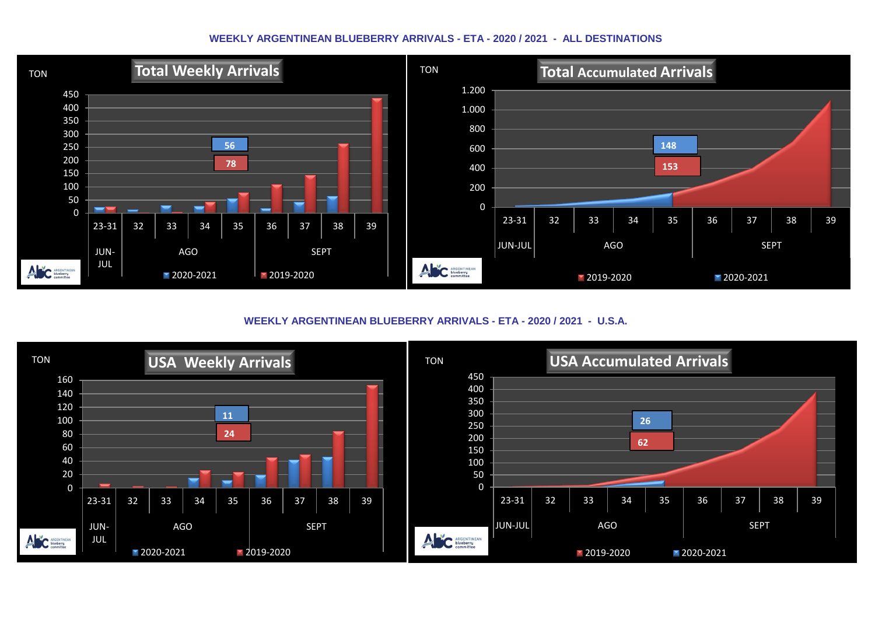#### **WEEKLY ARGENTINEAN BLUEBERRY ARRIVALS - ETA - 2020 / 2021 - ALL DESTINATIONS**



**WEEKLY ARGENTINEAN BLUEBERRY ARRIVALS - ETA - 2020 / 2021 - U.S.A.**

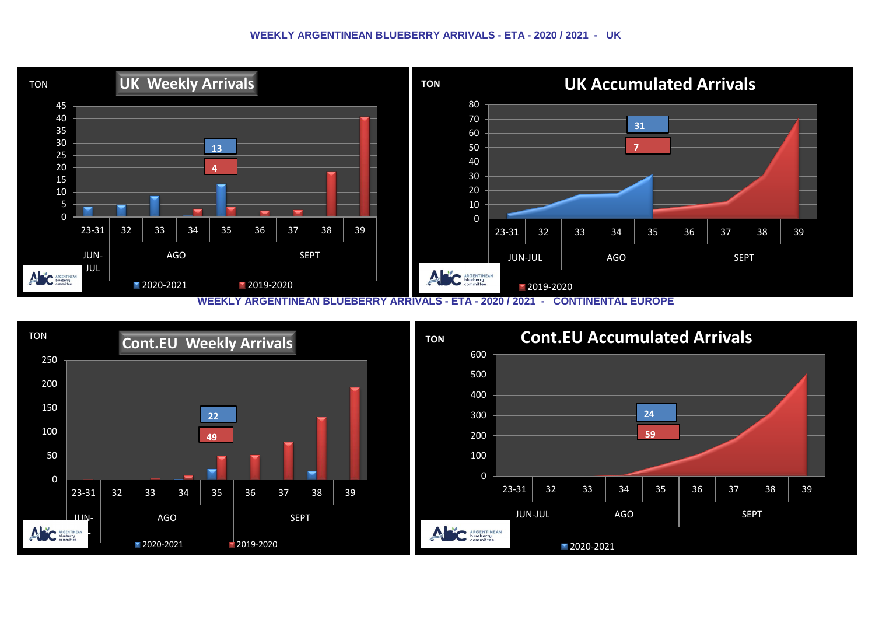#### **WEEKLY ARGENTINEAN BLUEBERRY ARRIVALS - ETA - 2020 / 2021 - UK**



**WEEKLY ARGENTINEAN BLUEBERRY ARRIVALS - ETA - 2020 / 2021 - CONTINENTAL EUROPE**